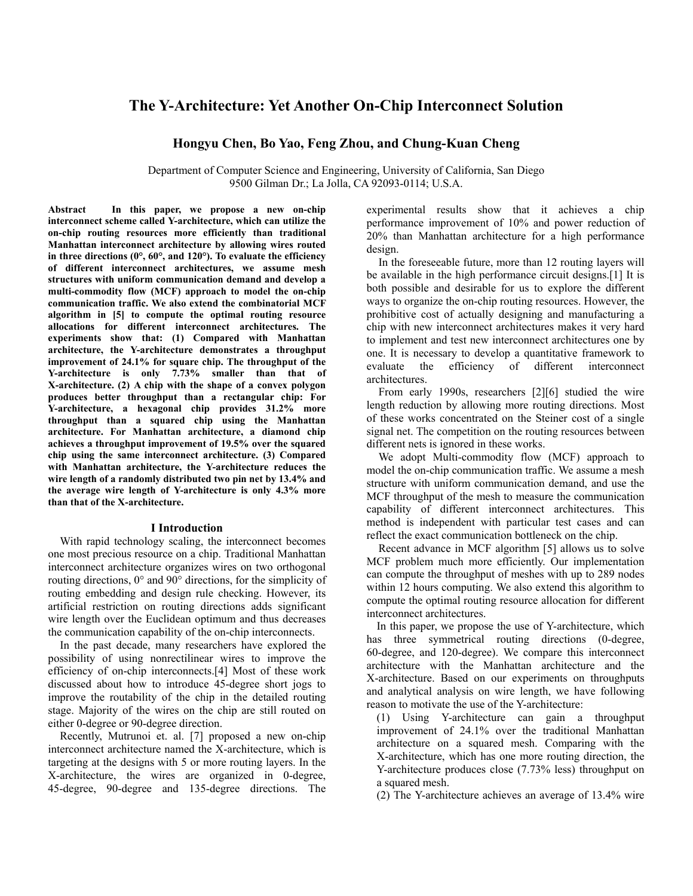# **The Y-Architecture: Yet Another On-Chip Interconnect Solution**

# **Hongyu Chen, Bo Yao, Feng Zhou, and Chung-Kuan Cheng**

Department of Computer Science and Engineering, University of California, San Diego 9500 Gilman Dr.; La Jolla, CA 92093-0114; U.S.A.

**Abstract In this paper, we propose a new on-chip interconnect scheme called Y-architecture, which can utilize the on-chip routing resources more efficiently than traditional Manhattan interconnect architecture by allowing wires routed in three directions (0°, 60°, and 120°). To evaluate the efficiency of different interconnect architectures, we assume mesh structures with uniform communication demand and develop a multi-commodity flow (MCF) approach to model the on-chip communication traffic. We also extend the combinatorial MCF algorithm in [5] to compute the optimal routing resource allocations for different interconnect architectures. The experiments show that: (1) Compared with Manhattan architecture, the Y-architecture demonstrates a throughput improvement of 24.1% for square chip. The throughput of the Y-architecture is only 7.73% smaller than that of X-architecture. (2) A chip with the shape of a convex polygon produces better throughput than a rectangular chip: For Y-architecture, a hexagonal chip provides 31.2% more throughput than a squared chip using the Manhattan architecture. For Manhattan architecture, a diamond chip achieves a throughput improvement of 19.5% over the squared chip using the same interconnect architecture. (3) Compared with Manhattan architecture, the Y-architecture reduces the wire length of a randomly distributed two pin net by 13.4% and the average wire length of Y-architecture is only 4.3% more than that of the X-architecture.** 

#### **I Introduction**

With rapid technology scaling, the interconnect becomes one most precious resource on a chip. Traditional Manhattan interconnect architecture organizes wires on two orthogonal routing directions, 0° and 90° directions, for the simplicity of routing embedding and design rule checking. However, its artificial restriction on routing directions adds significant wire length over the Euclidean optimum and thus decreases the communication capability of the on-chip interconnects.

In the past decade, many researchers have explored the possibility of using nonrectilinear wires to improve the efficiency of on-chip interconnects.[4] Most of these work discussed about how to introduce 45-degree short jogs to improve the routability of the chip in the detailed routing stage. Majority of the wires on the chip are still routed on either 0-degree or 90-degree direction.

Recently, Mutrunoi et. al. [7] proposed a new on-chip interconnect architecture named the X-architecture, which is targeting at the designs with 5 or more routing layers. In the X-architecture, the wires are organized in 0-degree, 45-degree, 90-degree and 135-degree directions. The experimental results show that it achieves a chip performance improvement of 10% and power reduction of 20% than Manhattan architecture for a high performance design.

In the foreseeable future, more than 12 routing layers will be available in the high performance circuit designs.[1] It is both possible and desirable for us to explore the different ways to organize the on-chip routing resources. However, the prohibitive cost of actually designing and manufacturing a chip with new interconnect architectures makes it very hard to implement and test new interconnect architectures one by one. It is necessary to develop a quantitative framework to evaluate the efficiency of different interconnect architectures.

From early 1990s, researchers [2][6] studied the wire length reduction by allowing more routing directions. Most of these works concentrated on the Steiner cost of a single signal net. The competition on the routing resources between different nets is ignored in these works.

We adopt Multi-commodity flow (MCF) approach to model the on-chip communication traffic. We assume a mesh structure with uniform communication demand, and use the MCF throughput of the mesh to measure the communication capability of different interconnect architectures. This method is independent with particular test cases and can reflect the exact communication bottleneck on the chip.

Recent advance in MCF algorithm [5] allows us to solve MCF problem much more efficiently. Our implementation can compute the throughput of meshes with up to 289 nodes within 12 hours computing. We also extend this algorithm to compute the optimal routing resource allocation for different interconnect architectures.

In this paper, we propose the use of Y-architecture, which has three symmetrical routing directions (0-degree, 60-degree, and 120-degree). We compare this interconnect architecture with the Manhattan architecture and the X-architecture. Based on our experiments on throughputs and analytical analysis on wire length, we have following reason to motivate the use of the Y-architecture:

(1) Using Y-architecture can gain a throughput improvement of 24.1% over the traditional Manhattan architecture on a squared mesh. Comparing with the X-architecture, which has one more routing direction, the Y-architecture produces close (7.73% less) throughput on a squared mesh.

(2) The Y-architecture achieves an average of 13.4% wire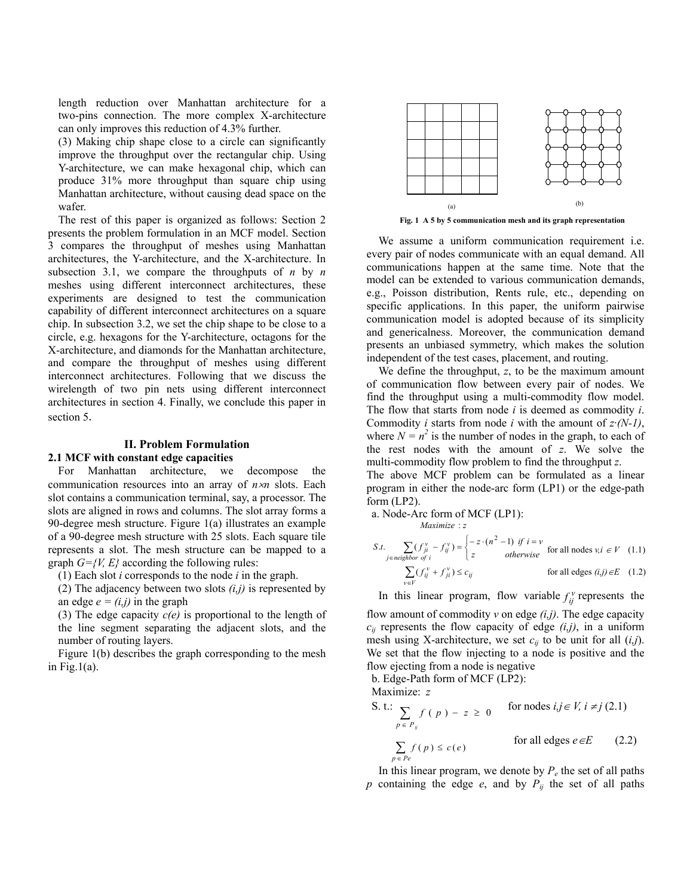length reduction over Manhattan architecture for a two-pins connection. The more complex X-architecture can only improves this reduction of 4.3% further.

(3) Making chip shape close to a circle can significantly improve the throughput over the rectangular chip. Using Y-architecture, we can make hexagonal chip, which can produce 31% more throughput than square chip using Manhattan architecture, without causing dead space on the wafer.

The rest of this paper is organized as follows: Section 2 presents the problem formulation in an MCF model. Section 3 compares the throughput of meshes using Manhattan architectures, the Y-architecture, and the X-architecture. In subsection 3.1, we compare the throughputs of *n* by *n* meshes using different interconnect architectures, these experiments are designed to test the communication capability of different interconnect architectures on a square chip. In subsection 3.2, we set the chip shape to be close to a circle, e.g. hexagons for the Y-architecture, octagons for the X-architecture, and diamonds for the Manhattan architecture, and compare the throughput of meshes using different interconnect architectures. Following that we discuss the wirelength of two pin nets using different interconnect architectures in section 4. Finally, we conclude this paper in section 5.

#### **II. Problem Formulation**

#### **2.1 MCF with constant edge capacities**

For Manhattan architecture, we decompose the communication resources into an array of *n*×*n* slots. Each slot contains a communication terminal, say, a processor. The slots are aligned in rows and columns. The slot array forms a 90-degree mesh structure. Figure 1(a) illustrates an example of a 90-degree mesh structure with 25 slots. Each square tile represents a slot. The mesh structure can be mapped to a graph  $G=\{V, E\}$  according the following rules:

 $f(1)$  Each slot *i* corresponds to the node *i* in the graph.

(2) The adjacency between two slots *(i,j)* is represented by an edge  $e = (i, j)$  in the graph

(3) The edge capacity *c(e)* is proportional to the length of the line segment separating the adjacent slots, and the number of routing layers.

Figure 1(b) describes the graph corresponding to the mesh in Fig.1 $(a)$ .



**Fig. 1 A 5 by 5 communication mesh and its graph representation** 

We assume a uniform communication requirement i.e. every pair of nodes communicate with an equal demand. All communications happen at the same time. Note that the model can be extended to various communication demands, e.g., Poisson distribution, Rents rule, etc., depending on specific applications. In this paper, the uniform pairwise communication model is adopted because of its simplicity and genericalness. Moreover, the communication demand presents an unbiased symmetry, which makes the solution independent of the test cases, placement, and routing.

We define the throughput, *z*, to be the maximum amount of communication flow between every pair of nodes. We find the throughput using a multi-commodity flow model. The flow that starts from node *i* is deemed as commodity *i*. Commodity *i* starts from node *i* with the amount of *z·(N-1)*, where  $N = n^2$  is the number of nodes in the graph, to each of the rest nodes with the amount of *z*. We solve the multi-commodity flow problem to find the throughput *z*. The above MCF problem can be formulated as a linear

program in either the node-arc form (LP1) or the edge-path form (LP2).

a. Node-Arc form of MCF (LP1):

$$
Maximize: z
$$
\n
$$
S.t. \sum_{j \in \text{neighbor of } i} (f_{ji}^v - f_{ij}^v) = \begin{cases} -z \cdot (n^2 - 1) & \text{if } i = v \\ z & \text{otherwise} \end{cases} \text{ for all nodes } v, i \in V \quad (1.1)
$$
\n
$$
\sum_{v \in V} (f_{ij}^v + f_{ji}^v) \le c_{ij} \qquad \text{ for all edges } (i,j) \in E \quad (1.2)
$$

In this linear program, flow variable  $f_{ij}^v$  represents the

flow amount of commodity *v* on edge *(i,j)*. The edge capacity  $c_{ij}$  represents the flow capacity of edge  $(i,j)$ , in a uniform mesh using X-architecture, we set  $c_{ij}$  to be unit for all  $(i,j)$ . We set that the flow injecting to a node is positive and the flow ejecting from a node is negative

b. Edge-Path form of MCF (LP2):

Maximize: *z*

S. t.: 
$$
\sum_{p \in P_{ij}} f(p) - z \ge 0 \quad \text{for nodes } i, j \in V, i \ne j (2.1)
$$
  

$$
\sum_{p \in P_e} f(p) \le c(e) \quad \text{for all edges } e \in E \quad (2.2)
$$

In this linear program, we denote by  $P_e$  the set of all paths  $p$  containing the edge  $e$ , and by  $P_{ij}$  the set of all paths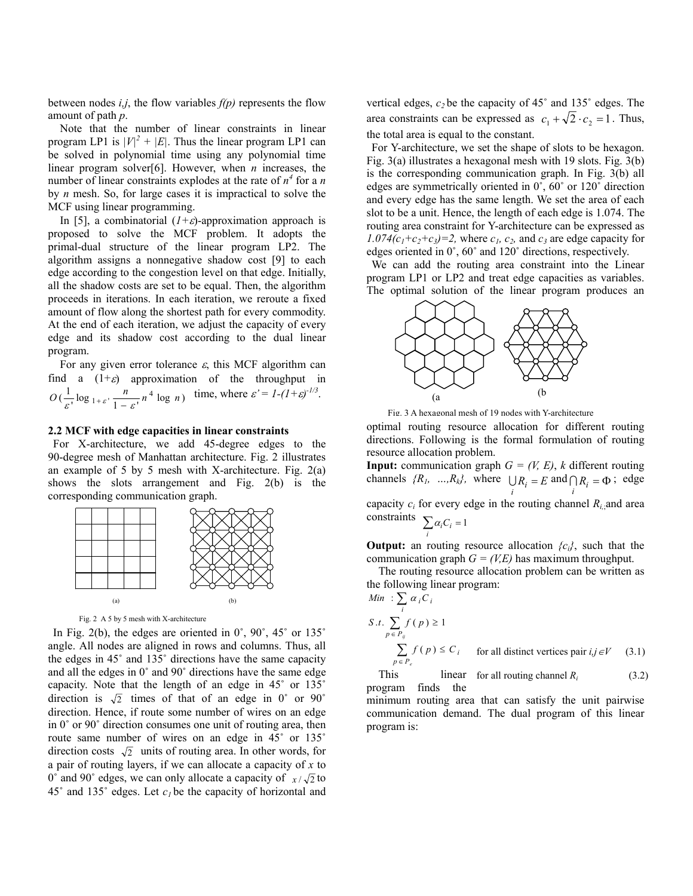between nodes *i,j*, the flow variables *f(p)* represents the flow amount of path *p*.

Note that the number of linear constraints in linear program LP1 is  $|V|^2 + |E|$ . Thus the linear program LP1 can be solved in polynomial time using any polynomial time linear program solver[6]. However, when *n* increases, the number of linear constraints explodes at the rate of  $n^4$  for a *n* by *n* mesh. So, for large cases it is impractical to solve the MCF using linear programming.

In [5], a combinatorial  $(I+\varepsilon)$ -approximation approach is proposed to solve the MCF problem. It adopts the primal-dual structure of the linear program LP2. The algorithm assigns a nonnegative shadow cost [9] to each edge according to the congestion level on that edge. Initially, all the shadow costs are set to be equal. Then, the algorithm proceeds in iterations. In each iteration, we reroute a fixed amount of flow along the shortest path for every commodity. At the end of each iteration, we adjust the capacity of every edge and its shadow cost according to the dual linear program.

For any given error tolerance  $\varepsilon$ , this MCF algorithm can find a  $(1+\varepsilon)$  approximation of the throughput in  $O\left(\frac{1}{\varepsilon}, \log_{1+\varepsilon'} \frac{n}{1-\varepsilon}, n^4 \log n\right)$  time, where  $\varepsilon' = I - (1+\varepsilon)^{-1/3}$ .

### **2.2 MCF with edge capacities in linear constraints**

For X-architecture, we add 45-degree edges to the 90-degree mesh of Manhattan architecture. Fig. 2 illustrates an example of 5 by 5 mesh with X-architecture. Fig.  $2(a)$ shows the slots arrangement and Fig. 2(b) is the corresponding communication graph.



Fig. 2 A 5 by 5 mesh with X-architecture

In Fig. 2(b), the edges are oriented in  $0^\circ$ ,  $90^\circ$ ,  $45^\circ$  or  $135^\circ$ angle. All nodes are aligned in rows and columns. Thus, all the edges in 45˚ and 135˚ directions have the same capacity and all the edges in 0˚ and 90˚ directions have the same edge capacity. Note that the length of an edge in 45˚ or 135˚ direction is  $\sqrt{2}$  times of that of an edge in 0° or 90° direction. Hence, if route some number of wires on an edge in 0˚ or 90˚ direction consumes one unit of routing area, then route same number of wires on an edge in 45˚ or 135˚ direction costs  $\sqrt{2}$  units of routing area. In other words, for a pair of routing layers, if we can allocate a capacity of *x* to 0° and 90° edges, we can only allocate a capacity of  $x/\sqrt{2}$  to  $45^\circ$  and  $135^\circ$  edges. Let  $c_l$  be the capacity of horizontal and

vertical edges,  $c_2$  be the capacity of  $45^\circ$  and  $135^\circ$  edges. The area constraints can be expressed as  $c_1 + \sqrt{2} \cdot c_2 = 1$ . Thus, the total area is equal to the constant.

For Y-architecture, we set the shape of slots to be hexagon. Fig. 3(a) illustrates a hexagonal mesh with 19 slots. Fig. 3(b) is the corresponding communication graph. In Fig. 3(b) all edges are symmetrically oriented in 0˚, 60˚ or 120˚ direction and every edge has the same length. We set the area of each slot to be a unit. Hence, the length of each edge is 1.074. The routing area constraint for Y-architecture can be expressed as  $1.074(c_1+c_2+c_3)=2$ , where  $c_1$ ,  $c_2$ , and  $c_3$  are edge capacity for edges oriented in 0˚, 60˚ and 120˚ directions, respectively.

We can add the routing area constraint into the Linear program LP1 or LP2 and treat edge capacities as variables. The optimal solution of the linear program produces an



Fig. 3 A hexagonal mesh of 19 nodes with Y-architecture

optimal routing resource allocation for different routing directions. Following is the formal formulation of routing resource allocation problem.

*channels*  $\{R_1, ..., R_k\}$ , where  $\bigcup_i R_i = E$  and  $\bigcap_i R_i = \Phi$ ; edge **Input:** communication graph  $G = (V, E)$ , *k* different routing capacity  $c_i$  for every edge in the routing channel  $R_{i,j}$  and area

$$
\text{constraints} \quad \sum_{i} \alpha_i C_i = 1
$$

**Output:** an routing resource allocation  ${c_i}$ , such that the communication graph  $G = (V,E)$  has maximum throughput.

The routing resource allocation problem can be written as the following linear program:

Min : 
$$
\sum_{i} \alpha_{i} C_{i}
$$
  
\n*S.t.*  $\sum_{p \in P_{ij}} f(p) \ge 1$   
\n $\sum_{p \in P_{e}} f(p) \le C_{i}$  for all distinct vertices pair  $i, j \in V$  (3.1)

This linear for all routing channel  $R_i$  (3.2) program finds the

minimum routing area that can satisfy the unit pairwise communication demand. The dual program of this linear program is: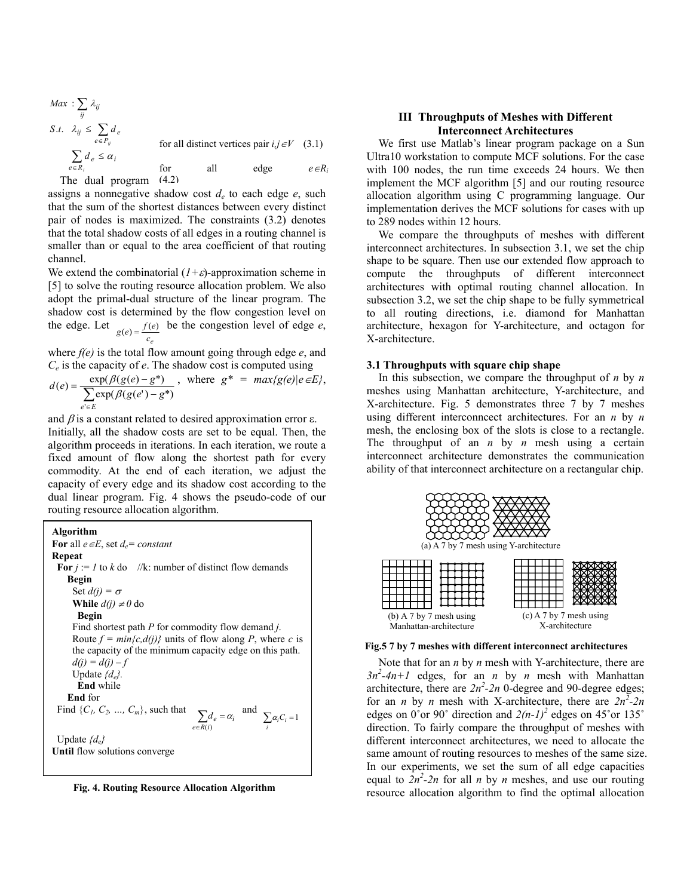$$
Max: \sum_{ij} \lambda_{ij}
$$
  
\n
$$
S.t. \lambda_{ij} \leq \sum_{e \in P_{ij}} d_e
$$
  
\nfor all distinct vertices pair  $i, j \in V$  (3.1)  
\n
$$
\sum_{e \in R_i} d_e \leq \alpha_i
$$
  
\nfor all edge  $e \in R_i$   
\nThe dual program (4.2)

assigns a nonnegative shadow cost  $d_e$  to each edge  $e$ , such that the sum of the shortest distances between every distinct pair of nodes is maximized. The constraints (3.2) denotes that the total shadow costs of all edges in a routing channel is smaller than or equal to the area coefficient of that routing channel.

We extend the combinatorial  $(1+\varepsilon)$ -approximation scheme in [5] to solve the routing resource allocation problem. We also adopt the primal-dual structure of the linear program. The shadow cost is determined by the flow congestion level on the edge. Let  $g(e) = \frac{f(e)}{c_e}$  be the congestion level of edge *e*,

where *f(e)* is the total flow amount going through edge *e*, and *Ce* is the capacity of *e*. The shadow cost is computed using **3.1 Throughputs with square chip shape** 

$$
d(e) = \frac{\exp(\beta(g(e) - g^*))}{\sum_{e' \in E} \exp(\beta(g(e') - g^*))}, \text{ where } g^* = \max\{g(e)|e \in E\},
$$

and  $\beta$  is a constant related to desired approximation error  $\varepsilon$ . Initially, all the shadow costs are set to be equal. Then, the algorithm proceeds in iterations. In each iteration, we route a fixed amount of flow along the shortest path for every commodity. At the end of each iteration, we adjust the capacity of every edge and its shadow cost according to the dual linear program. Fig. 4 shows the pseudo-code of our routing resource allocation algorithm.

 $\sum_{e \in R}$ = Find {*C<sub>1</sub>, C<sub>2</sub>, …, C<sub>m</sub>*}, such that  $\sum_{e \in R(i)} d_e = \alpha_i$  and  $\sum_i \alpha_i C_i = 1$ **Algorithm For** all *e*∈*E*, set *d<sub>e</sub>*= *constant* **Repeat For**  $j := 1$  to  $k$  do //k: number of distinct flow demands **Begin**  Set  $d(j) = \sigma$ **While**  $d(j) \neq 0$  do **Begin**  Find shortest path *P* for commodity flow demand *j*. Route  $f = min\{c, d(j)\}$  units of flow along *P*, where *c* is the capacity of the minimum capacity edge on this path.  $d(i) = d(i) - f$ Update *{de}.* **End** while **End** for Update *{de}*  **Until** flow solutions converge

# **III Throughputs of Meshes with Different Interconnect Architectures**

We first use Matlab's linear program package on a Sun Ultra10 workstation to compute MCF solutions. For the case with 100 nodes, the run time exceeds 24 hours. We then implement the MCF algorithm [5] and our routing resource allocation algorithm using C programming language. Our implementation derives the MCF solutions for cases with up to 289 nodes within 12 hours.

We compare the throughputs of meshes with different interconnect architectures. In subsection 3.1, we set the chip shape to be square. Then use our extended flow approach to compute the throughputs of different interconnect architectures with optimal routing channel allocation. In subsection 3.2, we set the chip shape to be fully symmetrical to all routing directions, i.e. diamond for Manhattan architecture, hexagon for Y-architecture, and octagon for X-architecture.

In this subsection, we compare the throughput of *n* by *n* meshes using Manhattan architecture, Y-architecture, and X-architecture. Fig. 5 demonstrates three 7 by 7 meshes using different interconncect architectures. For an *n* by *n* mesh, the enclosing box of the slots is close to a rectangle. The throughput of an *n* by *n* mesh using a certain interconnect architecture demonstrates the communication ability of that interconnect architecture on a rectangular chip.



**Fig.5 7 by 7 meshes with different interconnect architectures**

Note that for an *n* by *n* mesh with Y-architecture, there are  $3n^2-4n+1$  edges, for an *n* by *n* mesh with Manhattan architecture, there are  $2n^2$ -2n 0-degree and 90-degree edges; for an *n* by *n* mesh with X-architecture, there are  $2n^2-2n$ edges on  $0^{\circ}$ or 90° direction and  $2(n-1)^2$  edges on 45°or 135° direction. To fairly compare the throughput of meshes with different interconnect architectures, we need to allocate the same amount of routing resources to meshes of the same size. In our experiments, we set the sum of all edge capacities equal to  $2n^2-2n$  for all *n* by *n* meshes, and use our routing Fig. 4. Routing Resource Allocation Algorithm resource allocation algorithm of find the optimal allocation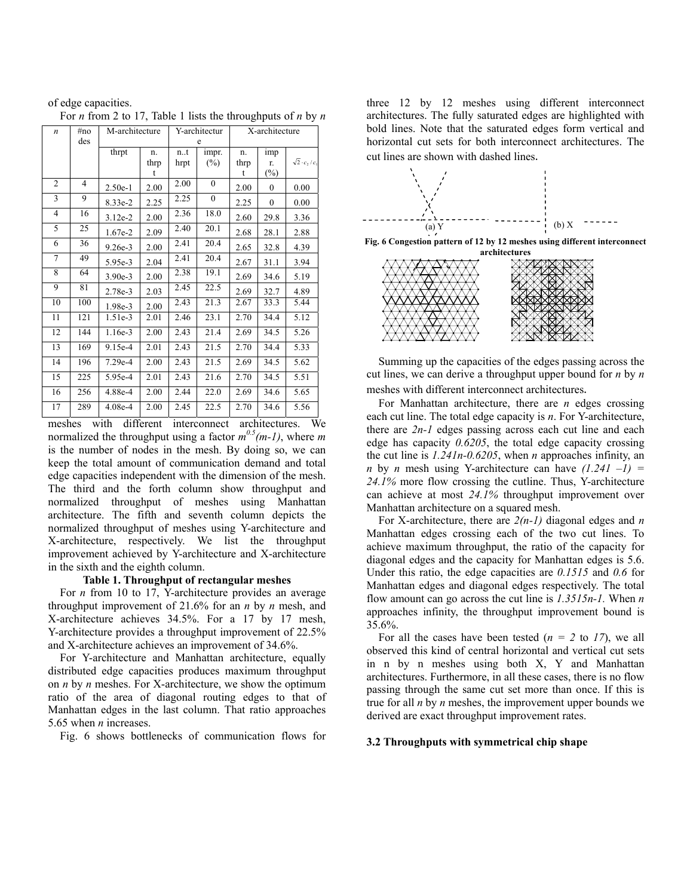| $\boldsymbol{n}$ | #no | M-architecture |      |      | Y-architectur |      | X-architecture |                          |
|------------------|-----|----------------|------|------|---------------|------|----------------|--------------------------|
|                  | des |                |      | e    |               |      |                |                          |
|                  |     | thrpt          | n.   | n.t  | impr.         | n.   | imp            |                          |
|                  |     |                | thrp | hrpt | $(\%)$        | thrp | r.             | $\sqrt{2} \cdot c_2/c_1$ |
|                  |     |                | t    |      |               | t    | $(\%)$         |                          |
| 2                | 4   | $2.50e-1$      | 2.00 | 2.00 | $\theta$      | 2.00 | $\mathbf{0}$   | 0.00                     |
| 3                | 9   | 8.33e-2        | 2.25 | 2.25 | $\mathbf{0}$  | 2.25 | $\mathbf{0}$   | 0.00                     |
| 4                | 16  | $3.12e-2$      | 2.00 | 2.36 | 18.0          | 2.60 | 29.8           | 3.36                     |
| 5                | 25  | $1.67e-2$      | 2.09 | 2.40 | 20.1          | 2.68 | 28.1           | 2.88                     |
| 6                | 36  | $9.26e-3$      | 2.00 | 2.41 | 20.4          | 2.65 | 32.8           | 4.39                     |
| $\tau$           | 49  | 5.95e-3        | 2.04 | 2.41 | 20.4          | 2.67 | 31.1           | 3.94                     |
| 8                | 64  | 3.90e-3        | 2.00 | 2.38 | 19.1          | 2.69 | 34.6           | 5.19                     |
| 9                | 81  | 2.78e-3        | 2.03 | 2.45 | 22.5          | 2.69 | 32.7           | 4.89                     |
| 10               | 100 | 1.98e-3        | 2.00 | 2.43 | 21.3          | 2.67 | 33.3           | 5.44                     |
| 11               | 121 | $1.51e-3$      | 2.01 | 2.46 | 23.1          | 2.70 | 34.4           | 5.12                     |
| 12               | 144 | 1.16e-3        | 2.00 | 2.43 | 21.4          | 2.69 | 34.5           | 5.26                     |
| 13               | 169 | 9.15e-4        | 2.01 | 2.43 | 21.5          | 2.70 | 34.4           | 5.33                     |
| 14               | 196 | $7.29e-4$      | 2.00 | 2.43 | 21.5          | 2.69 | 34.5           | 5.62                     |
| 15               | 225 | 5.95e-4        | 2.01 | 2.43 | 21.6          | 2.70 | 34.5           | 5.51                     |
| 16               | 256 | 4.88e-4        | 2.00 | 2.44 | 22.0          | 2.69 | 34.6           | 5.65                     |
| 17               | 289 | $4.08e-4$      | 2.00 | 2.45 | 22.5          | 2.70 | 34.6           | 5.56                     |

of edge capacities. For *n* from 2 to 17, Table 1 lists the throughputs of *n* by *n*

meshes with different interconnect architectures. We normalized the throughput using a factor  $m^{0.5}(m-1)$ , where m is the number of nodes in the mesh. By doing so, we can keep the total amount of communication demand and total edge capacities independent with the dimension of the mesh. The third and the forth column show throughput and normalized throughput of meshes using Manhattan architecture. The fifth and seventh column depicts the normalized throughput of meshes using Y-architecture and X-architecture, respectively. We list the throughput improvement achieved by Y-architecture and X-architecture in the sixth and the eighth column.

### **Table 1. Throughput of rectangular meshes**

For *n* from 10 to 17, Y-architecture provides an average throughput improvement of 21.6% for an *n* by *n* mesh, and X-architecture achieves 34.5%. For a 17 by 17 mesh, Y-architecture provides a throughput improvement of 22.5% and X-architecture achieves an improvement of 34.6%.

For Y-architecture and Manhattan architecture, equally distributed edge capacities produces maximum throughput on *n* by *n* meshes. For X-architecture, we show the optimum ratio of the area of diagonal routing edges to that of Manhattan edges in the last column. That ratio approaches 5.65 when *n* increases.

Fig. 6 shows bottlenecks of communication flows for

three 12 by 12 meshes using different interconnect architectures. The fully saturated edges are highlighted with bold lines. Note that the saturated edges form vertical and horizontal cut sets for both interconnect architectures. The cut lines are shown with dashed lines.







Summing up the capacities of the edges passing across the cut lines, we can derive a throughput upper bound for *n* by *n* meshes with different interconnect architectures.

For Manhattan architecture, there are *n* edges crossing each cut line. The total edge capacity is *n*. For Y-architecture, there are *2n-1* edges passing across each cut line and each edge has capacity *0.6205*, the total edge capacity crossing the cut line is *1.241n-0.6205*, when *n* approaches infinity, an *n* by *n* mesh using Y-architecture can have  $(1.241 -1)$  = *24.1%* more flow crossing the cutline. Thus, Y-architecture can achieve at most *24.1%* throughput improvement over Manhattan architecture on a squared mesh.

For X-architecture, there are *2(n-1)* diagonal edges and *n* Manhattan edges crossing each of the two cut lines. To achieve maximum throughput, the ratio of the capacity for diagonal edges and the capacity for Manhattan edges is 5.6. Under this ratio, the edge capacities are *0.1515* and *0.6* for Manhattan edges and diagonal edges respectively. The total flow amount can go across the cut line is *1.3515n-1.* When *n* approaches infinity, the throughput improvement bound is 35.6%.

For all the cases have been tested  $(n = 2$  to  $17)$ , we all observed this kind of central horizontal and vertical cut sets in n by n meshes using both X, Y and Manhattan architectures. Furthermore, in all these cases, there is no flow passing through the same cut set more than once. If this is true for all *n* by *n* meshes, the improvement upper bounds we derived are exact throughput improvement rates.

#### **3.2 Throughputs with symmetrical chip shape**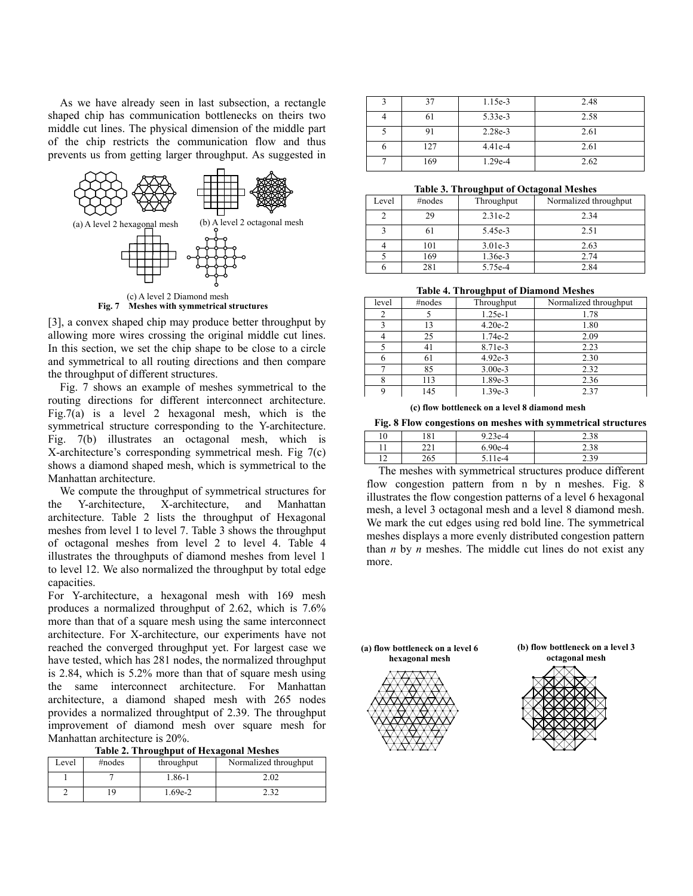As we have already seen in last subsection, a rectangle shaped chip has communication bottlenecks on theirs two middle cut lines. The physical dimension of the middle part of the chip restricts the communication flow and thus prevents us from getting larger throughput. As suggested in



Fig. 7 Meshes with symmetrical structures

[3], a convex shaped chip may produce better throughput by allowing more wires crossing the original middle cut lines. In this section, we set the chip shape to be close to a circle and symmetrical to all routing directions and then compare the throughput of different structures.

Fig. 7 shows an example of meshes symmetrical to the routing directions for different interconnect architecture. Fig.7(a) is a level 2 hexagonal mesh, which is the symmetrical structure corresponding to the Y-architecture. Fig. 7(b) illustrates an octagonal mesh, which is X-architecture's corresponding symmetrical mesh. Fig 7(c) shows a diamond shaped mesh, which is symmetrical to the Manhattan architecture.

We compute the throughput of symmetrical structures for the Y-architecture, X-architecture, and Manhattan architecture. Table 2 lists the throughput of Hexagonal meshes from level 1 to level 7. Table 3 shows the throughput of octagonal meshes from level 2 to level 4. Table 4 illustrates the throughputs of diamond meshes from level 1 to level 12. We also normalized the throughput by total edge capacities.

For Y-architecture, a hexagonal mesh with 169 mesh produces a normalized throughput of 2.62, which is 7.6% more than that of a square mesh using the same interconnect architecture. For X-architecture, our experiments have not reached the converged throughput yet. For largest case we have tested, which has 281 nodes, the normalized throughput is 2.84, which is 5.2% more than that of square mesh using the same interconnect architecture. For Manhattan architecture, a diamond shaped mesh with 265 nodes provides a normalized throughtput of 2.39. The throughput improvement of diamond mesh over square mesh for Manhattan architecture is 20%.

**Table 2. Throughput of Hexagonal Meshes** 

| Level | #nodes | throughput | Normalized throughput |
|-------|--------|------------|-----------------------|
|       |        | 1.86-1     | 2.02                  |
|       |        | .69e-2     | າ າາ                  |

|     | 1.15e-3   | 2.48 |
|-----|-----------|------|
|     | 5.33e-3   | 2.58 |
|     | $2.28e-3$ | 2.61 |
| 127 | $4.41e-4$ | 2.61 |
| 169 | 1.29e-4   | 2.62 |

#### **Table 3. Throughput of Octagonal Meshes**

|       |        | $\overline{\phantom{a}}$ | -                     |
|-------|--------|--------------------------|-----------------------|
| Level | #nodes | Throughput               | Normalized throughput |
| ∍     | 29     | $2.31e-2$                | 2.34                  |
|       | 61     | 5.45e-3                  | 2.51                  |
|       | 101    | $3.01e-3$                | 2.63                  |
|       | 169    | 1.36e-3                  | 2.74                  |
|       | 281    | 5.75e-4                  | 2.84                  |

|       |        | .          |                       |
|-------|--------|------------|-----------------------|
| level | #nodes | Throughput | Normalized throughput |
|       |        | $1.25e-1$  | 1.78                  |
|       | 13     | $4.20e-2$  | 1.80                  |
|       | 25     | 1.74e-2    | 2.09                  |
|       | 41     | 8.71e-3    | 2.23                  |
|       | 61     | $4.92e-3$  | 2.30                  |
|       | 85     | $3.00e-3$  | 2.32                  |
|       | 113    | 1.89e-3    | 2.36                  |
|       | 145    | 1.39e-3    | 2.37                  |

**(c) flow bottleneck on a level 8 diamond mesh**

#### **Fig. 8 Flow congestions on meshes with symmetrical structures**

| 10                | 181         | $973e-4$<br>ں رے۔ ر | $\Omega$<br>2.36   |
|-------------------|-------------|---------------------|--------------------|
| $^{\circ}$<br>. . | າາ1<br>$-1$ | $-90e-4$            | $\gamma c$<br>2.90 |
| 12<br>- 1         | 265<br>∠∪~  | A                   | <u>.</u>           |

The meshes with symmetrical structures produce different flow congestion pattern from n by n meshes. Fig. 8 illustrates the flow congestion patterns of a level 6 hexagonal mesh, a level 3 octagonal mesh and a level 8 diamond mesh. We mark the cut edges using red bold line. The symmetrical meshes displays a more evenly distributed congestion pattern than *n* by *n* meshes. The middle cut lines do not exist any more.

**(a) flow bottleneck on a level 6** 





**octagonal mesh** 

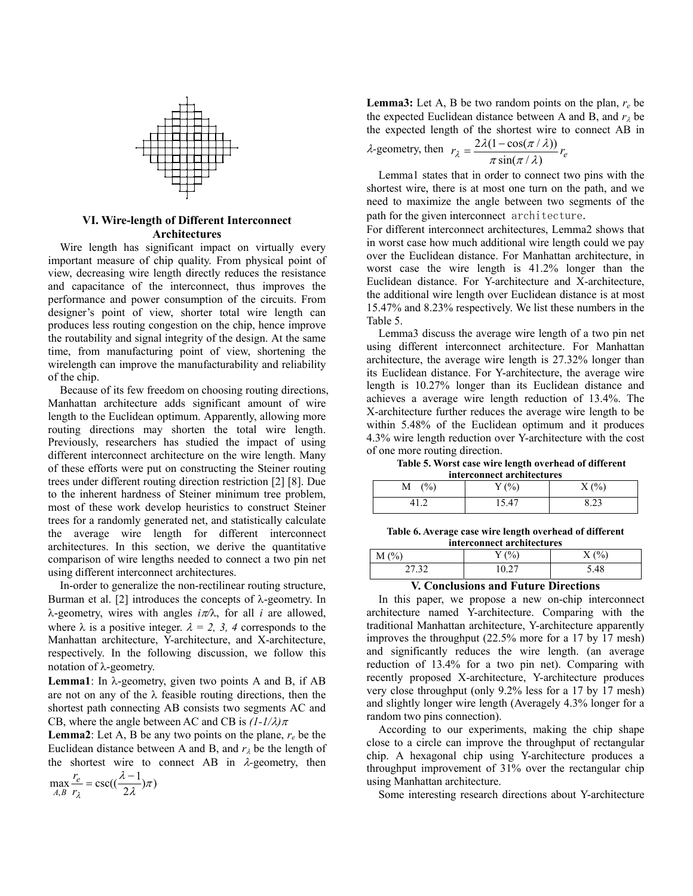

Wire length has significant impact on virtually every important measure of chip quality. From physical point of view, decreasing wire length directly reduces the resistance and capacitance of the interconnect, thus improves the performance and power consumption of the circuits. From designer's point of view, shorter total wire length can produces less routing congestion on the chip, hence improve the routability and signal integrity of the design. At the same time, from manufacturing point of view, shortening the wirelength can improve the manufacturability and reliability of the chip.

Because of its few freedom on choosing routing directions, Manhattan architecture adds significant amount of wire length to the Euclidean optimum. Apparently, allowing more routing directions may shorten the total wire length. Previously, researchers has studied the impact of using different interconnect architecture on the wire length. Many of these efforts were put on constructing the Steiner routing trees under different routing direction restriction [2] [8]. Due to the inherent hardness of Steiner minimum tree problem, most of these work develop heuristics to construct Steiner trees for a randomly generated net, and statistically calculate the average wire length for different interconnect architectures. In this section, we derive the quantitative comparison of wire lengths needed to connect a two pin net using different interconnect architectures.

In-order to generalize the non-rectilinear routing structure, Burman et al. [2] introduces the concepts of  $\lambda$ -geometry. In λ-geometry, wires with angles *i*π*/*λ, for all *i* are allowed, where  $\lambda$  is a positive integer.  $\lambda = 2$ , 3, 4 corresponds to the Manhattan architecture, Y-architecture, and X-architecture, respectively. In the following discussion, we follow this notation of λ-geometry.

**Lemma1**: In λ-geometry, given two points A and B, if AB are not on any of the λ feasible routing directions, then the shortest path connecting AB consists two segments AC and CB, where the angle between AC and CB is  $(l-1/\lambda)\pi$ 

**Lemma2**: Let A, B be any two points on the plane,  $r_e$  be the Euclidean distance between A and B, and  $r_{\lambda}$  be the length of the shortest wire to connect AB in λ*-*geometry, then

$$
\max_{A,B} \frac{r_e}{r_{\lambda}} = \csc((\frac{\lambda - 1}{2\lambda})\pi)
$$

**Lemma3:** Let A, B be two random points on the plan, *re* be the expected Euclidean distance between A and B, and  $r_\lambda$  be the expected length of the shortest wire to connect AB in

$$
\lambda\text{-geometry, then } r_{\lambda} = \frac{2\lambda(1 - \cos(\pi/\lambda))}{\pi \sin(\pi/\lambda)} r_e
$$

Lemma1 states that in order to connect two pins with the shortest wire, there is at most one turn on the path, and we need to maximize the angle between two segments of the path for the given interconnect architecture. **VI. Wire-length of Different Interconnect** 

**Architectures** For different interconnect architectures, Lemma2 shows that in worst case how much additional wire length could we pay over the Euclidean distance. For Manhattan architecture, in worst case the wire length is 41.2% longer than the Euclidean distance. For Y-architecture and X-architecture, the additional wire length over Euclidean distance is at most 15.47% and 8.23% respectively. We list these numbers in the Table 5.

> Lemma3 discuss the average wire length of a two pin net using different interconnect architecture. For Manhattan architecture, the average wire length is 27.32% longer than its Euclidean distance. For Y-architecture, the average wire length is 10.27% longer than its Euclidean distance and achieves a average wire length reduction of 13.4%. The X-architecture further reduces the average wire length to be within 5.48% of the Euclidean optimum and it produces 4.3% wire length reduction over Y-architecture with the cost of one more routing direction.

**Table 5. Worst case wire length overhead of different interconnect architectures**

| muntomnent aremiertunes |             |         |  |  |
|-------------------------|-------------|---------|--|--|
| $\%$<br>М               | (0/0)       | (0/0)   |  |  |
|                         | $5.4^\circ$ | ر ے . ن |  |  |

**Table 6. Average case wire length overhead of different interconnect architectures**

# $M (%)$   $Y (%)$   $X (%)$ 27.32 10.27 5.48

# **V. Conclusions and Future Directions**

In this paper, we propose a new on-chip interconnect architecture named Y-architecture. Comparing with the traditional Manhattan architecture, Y-architecture apparently improves the throughput (22.5% more for a 17 by 17 mesh) and significantly reduces the wire length. (an average reduction of 13.4% for a two pin net). Comparing with recently proposed X-architecture, Y-architecture produces very close throughput (only 9.2% less for a 17 by 17 mesh) and slightly longer wire length (Averagely 4.3% longer for a random two pins connection).

According to our experiments, making the chip shape close to a circle can improve the throughput of rectangular chip. A hexagonal chip using Y-architecture produces a throughput improvement of 31% over the rectangular chip using Manhattan architecture.

Some interesting research directions about Y-architecture